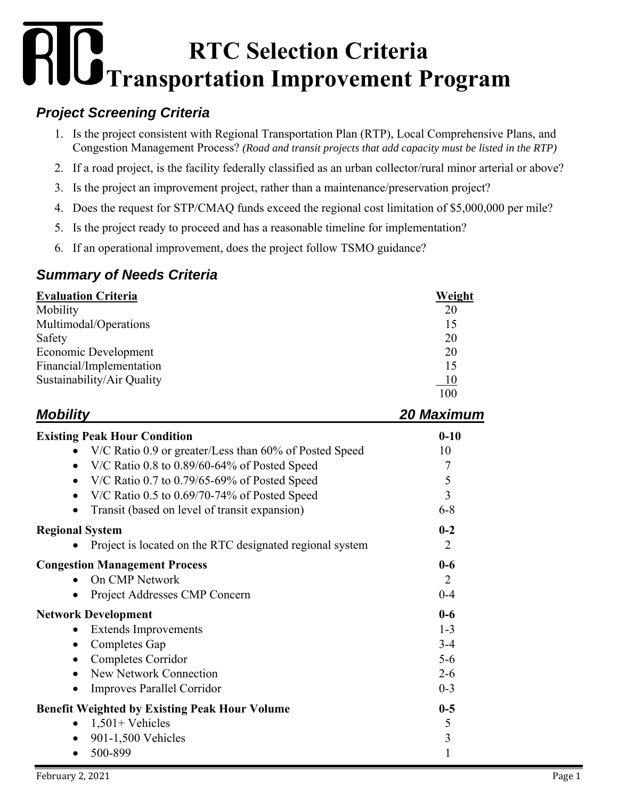# **RTC Selection Criteria Transportation Improvement Program**

## *Project Screening Criteria*

- 1. Is the project consistent with Regional Transportation Plan (RTP), Local Comprehensive Plans, and Congestion Management Process? *(Road and transit projects that add capacity must be listed in the RTP)*
- 2. If a road project, is the facility federally classified as an urban collector/rural minor arterial or above?
- 3. Is the project an improvement project, rather than a maintenance/preservation project?
- 4. Does the request for STP/CMAQ funds exceed the regional cost limitation of \$5,000,000 per mile?
- 5. Is the project ready to proceed and has a reasonable timeline for implementation?
- 6. If an operational improvement, does the project follow TSMO guidance?

## *Summary of Needs Criteria*

| <b>Evaluation Criteria</b> | Weight |
|----------------------------|--------|
| Mobility                   | 20     |
| Multimodal/Operations      | 15     |
| Safety                     | 20     |
| Economic Development       | 20     |
| Financial/Implementation   | 15     |
| Sustainability/Air Quality | 10     |
|                            | 100    |

| <b>Mobility</b>                                             | 20 Maximum     |
|-------------------------------------------------------------|----------------|
| <b>Existing Peak Hour Condition</b>                         | $0 - 10$       |
| V/C Ratio 0.9 or greater/Less than 60% of Posted Speed      | 10             |
| V/C Ratio 0.8 to 0.89/60-64% of Posted Speed<br>$\bullet$   | 7              |
| V/C Ratio 0.7 to $0.79/65-69%$ of Posted Speed<br>$\bullet$ | 5              |
| V/C Ratio $0.5$ to $0.69/70$ -74% of Posted Speed           | $\overline{3}$ |
| Transit (based on level of transit expansion)               | $6 - 8$        |
| <b>Regional System</b>                                      | $0 - 2$        |
| Project is located on the RTC designated regional system    | $\overline{2}$ |
| <b>Congestion Management Process</b>                        | $0 - 6$        |
| On CMP Network                                              | $\overline{2}$ |
| Project Addresses CMP Concern                               | $0 - 4$        |
| <b>Network Development</b>                                  | $0 - 6$        |
| <b>Extends Improvements</b>                                 | $1 - 3$        |
| Completes Gap                                               | $3 - 4$        |
| Completes Corridor                                          | $5 - 6$        |
| <b>New Network Connection</b>                               | $2 - 6$        |
| Improves Parallel Corridor                                  | $0 - 3$        |
| <b>Benefit Weighted by Existing Peak Hour Volume</b>        | $0-5$          |
| $1,501+$ Vehicles                                           | 5              |
| 901-1,500 Vehicles<br>$\bullet$                             | 3              |
| 500-899                                                     | 1              |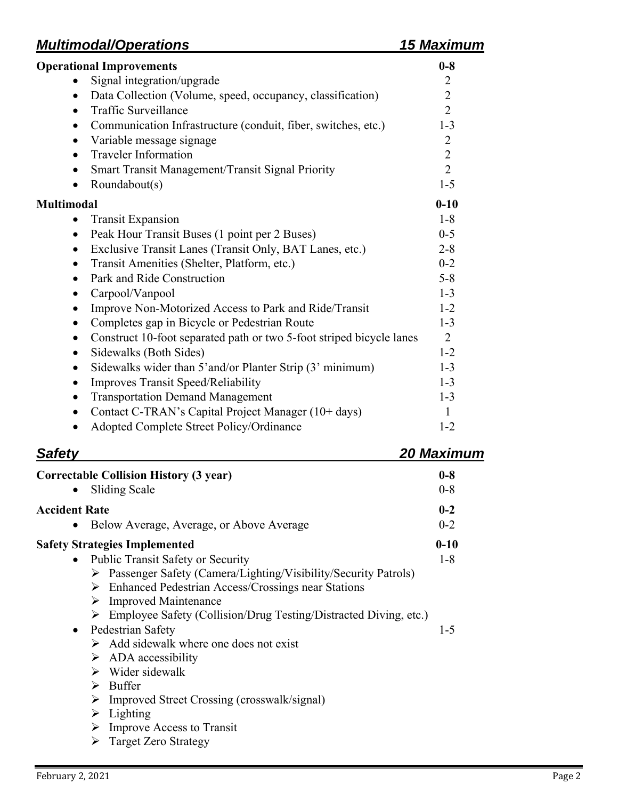# *Multimodal/Operations 15 Maximum*

| <b>Operational Improvements</b>                                                   | $0 - 8$        |
|-----------------------------------------------------------------------------------|----------------|
| Signal integration/upgrade                                                        | 2              |
| Data Collection (Volume, speed, occupancy, classification)<br>$\bullet$           | $\overline{2}$ |
| <b>Traffic Surveillance</b><br>$\bullet$                                          | $\overline{2}$ |
| Communication Infrastructure (conduit, fiber, switches, etc.)<br>$\bullet$        | $1 - 3$        |
| Variable message signage<br>$\bullet$                                             | $\overline{2}$ |
| <b>Traveler Information</b><br>$\bullet$                                          | $\overline{2}$ |
| Smart Transit Management/Transit Signal Priority<br>٠                             | $\overline{2}$ |
| Roundabout(s)<br>$\bullet$                                                        | $1 - 5$        |
| <b>Multimodal</b>                                                                 | $0 - 10$       |
| <b>Transit Expansion</b><br>$\bullet$                                             | $1 - 8$        |
| Peak Hour Transit Buses (1 point per 2 Buses)<br>$\bullet$                        | $0 - 5$        |
| Exclusive Transit Lanes (Transit Only, BAT Lanes, etc.)<br>$\bullet$              | $2 - 8$        |
| Transit Amenities (Shelter, Platform, etc.)<br>٠                                  | $0 - 2$        |
| Park and Ride Construction<br>$\bullet$                                           | $5 - 8$        |
| Carpool/Vanpool<br>٠                                                              | $1 - 3$        |
| Improve Non-Motorized Access to Park and Ride/Transit<br>$\bullet$                | $1 - 2$        |
| Completes gap in Bicycle or Pedestrian Route<br>$\bullet$                         | $1 - 3$        |
| Construct 10-foot separated path or two 5-foot striped bicycle lanes<br>$\bullet$ | $\overline{2}$ |
| Sidewalks (Both Sides)<br>$\bullet$                                               | $1 - 2$        |
| Sidewalks wider than 5' and/or Planter Strip (3' minimum)<br>$\bullet$            | $1-3$          |
| <b>Improves Transit Speed/Reliability</b><br>$\bullet$                            | $1 - 3$        |
| <b>Transportation Demand Management</b><br>$\bullet$                              | $1 - 3$        |
| Contact C-TRAN's Capital Project Manager (10+ days)<br>$\bullet$                  | $\mathbf{1}$   |
| Adopted Complete Street Policy/Ordinance                                          | $1 - 2$        |

| <b>Safety</b>                                                                                                                                                                                                                                                                                                                                                                                                                                                                                                                                                                                                                                                                                            | <b>20 Maximum</b>            |
|----------------------------------------------------------------------------------------------------------------------------------------------------------------------------------------------------------------------------------------------------------------------------------------------------------------------------------------------------------------------------------------------------------------------------------------------------------------------------------------------------------------------------------------------------------------------------------------------------------------------------------------------------------------------------------------------------------|------------------------------|
| <b>Correctable Collision History (3 year)</b><br>Sliding Scale<br>$\bullet$                                                                                                                                                                                                                                                                                                                                                                                                                                                                                                                                                                                                                              | $0-8$<br>$0 - 8$             |
| <b>Accident Rate</b>                                                                                                                                                                                                                                                                                                                                                                                                                                                                                                                                                                                                                                                                                     | $0 - 2$                      |
| Below Average, Average, or Above Average                                                                                                                                                                                                                                                                                                                                                                                                                                                                                                                                                                                                                                                                 | $0 - 2$                      |
| <b>Safety Strategies Implemented</b><br><b>Public Transit Safety or Security</b><br>$\bullet$<br>$\triangleright$ Passenger Safety (Camera/Lighting/Visibility/Security Patrols)<br>$\triangleright$ Enhanced Pedestrian Access/Crossings near Stations<br>$\triangleright$ Improved Maintenance<br>$\triangleright$ Employee Safety (Collision/Drug Testing/Distracted Diving, etc.)<br>Pedestrian Safety<br>$\bullet$<br>$\triangleright$ Add sidewalk where one does not exist<br>$\triangleright$ ADA accessibility<br>$\triangleright$ Wider sidewalk<br>$\triangleright$ Buffer<br>Improved Street Crossing (crosswalk/signal)<br>➤<br>$\triangleright$ Lighting<br>Improve Access to Transit<br>➤ | $0 - 10$<br>$1 - 8$<br>$1-5$ |
| $\triangleright$ Target Zero Strategy                                                                                                                                                                                                                                                                                                                                                                                                                                                                                                                                                                                                                                                                    |                              |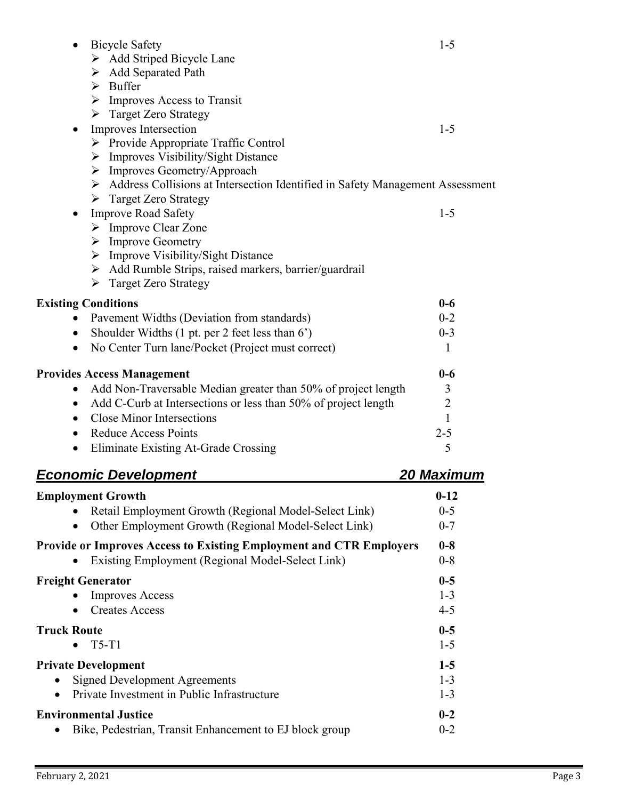| <b>Bicycle Safety</b><br>$\triangleright$ Add Striped Bicycle Lane                                                                                                                                                                                                           | $1 - 5$             |
|------------------------------------------------------------------------------------------------------------------------------------------------------------------------------------------------------------------------------------------------------------------------------|---------------------|
| > Add Separated Path<br>$\triangleright$ Buffer<br>$\triangleright$ Improves Access to Transit<br>> Target Zero Strategy                                                                                                                                                     |                     |
| Improves Intersection<br>> Provide Appropriate Traffic Control<br>$\triangleright$ Improves Visibility/Sight Distance<br>> Improves Geometry/Approach                                                                                                                        | $1 - 5$             |
| > Address Collisions at Intersection Identified in Safety Management Assessment<br>$\triangleright$ Target Zero Strategy                                                                                                                                                     |                     |
| <b>Improve Road Safety</b><br>$\bullet$<br>$\triangleright$ Improve Clear Zone<br>$\triangleright$ Improve Geometry<br>$\triangleright$ Improve Visibility/Sight Distance<br>> Add Rumble Strips, raised markers, barrier/guardrail<br>$\triangleright$ Target Zero Strategy | $1 - 5$             |
| <b>Existing Conditions</b>                                                                                                                                                                                                                                                   | $0-6$               |
| Pavement Widths (Deviation from standards)                                                                                                                                                                                                                                   | $0 - 2$             |
| Shoulder Widths (1 pt. per 2 feet less than 6')<br>$\bullet$                                                                                                                                                                                                                 | $0 - 3$             |
| No Center Turn lane/Pocket (Project must correct)<br>$\bullet$                                                                                                                                                                                                               | $\mathbf{1}$        |
| <b>Provides Access Management</b><br>Add Non-Traversable Median greater than 50% of project length<br>$\bullet$                                                                                                                                                              | $0-6$<br>3          |
| Add C-Curb at Intersections or less than 50% of project length<br>$\bullet$                                                                                                                                                                                                  | $\overline{2}$      |
| Close Minor Intersections<br>$\bullet$                                                                                                                                                                                                                                       | $\mathbf{1}$        |
| <b>Reduce Access Points</b><br>$\bullet$                                                                                                                                                                                                                                     | $2 - 5$             |
| Eliminate Existing At-Grade Crossing<br>$\bullet$                                                                                                                                                                                                                            | 5                   |
| <u>Economic Development</u>                                                                                                                                                                                                                                                  | <u> 20 Maximu</u> m |
| <b>Employment Growth</b>                                                                                                                                                                                                                                                     | $0 - 12$            |
| Retail Employment Growth (Regional Model-Select Link)                                                                                                                                                                                                                        | $0 - 5$             |
| Other Employment Growth (Regional Model-Select Link)                                                                                                                                                                                                                         | $0 - 7$             |
| <b>Provide or Improves Access to Existing Employment and CTR Employers</b><br>Existing Employment (Regional Model-Select Link)                                                                                                                                               | $0-8$<br>$0 - 8$    |
| <b>Freight Generator</b>                                                                                                                                                                                                                                                     | $0-5$               |
| <b>Improves Access</b>                                                                                                                                                                                                                                                       | $1 - 3$             |
| <b>Creates Access</b>                                                                                                                                                                                                                                                        | $4 - 5$             |
| <b>Truck Route</b>                                                                                                                                                                                                                                                           | $0-5$               |
| $T5-T1$                                                                                                                                                                                                                                                                      | $1 - 5$             |
| <b>Private Development</b>                                                                                                                                                                                                                                                   | $1-5$               |
| <b>Signed Development Agreements</b>                                                                                                                                                                                                                                         | $1 - 3$             |
| Private Investment in Public Infrastructure                                                                                                                                                                                                                                  | $1 - 3$             |
| <b>Environmental Justice</b><br>Bike, Pedestrian, Transit Enhancement to EJ block group                                                                                                                                                                                      | $0 - 2$<br>$0 - 2$  |